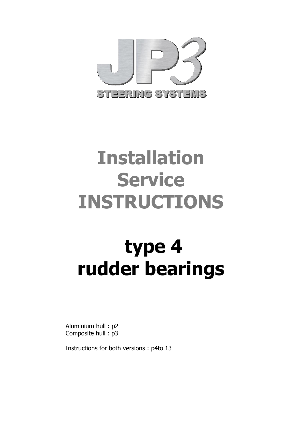

# **Installation Service INSTRUCTIONS**

# **type 4 rudder bearings**

Aluminium hull : p2 Composite hull : p3

Instructions for both versions : p4to 13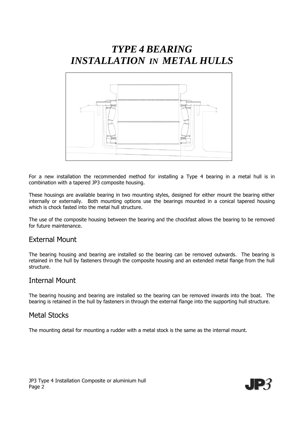# *TYPE 4 BEARING INSTALLATION IN METAL HULLS*



For a new installation the recommended method for installing a Type 4 bearing in a metal hull is in combination with a tapered JP3 composite housing.

These housings are available bearing in two mounting styles, designed for either mount the bearing either internally or externally. Both mounting options use the bearings mounted in a conical tapered housing which is chock fasted into the metal hull structure.

The use of the composite housing between the bearing and the chockfast allows the bearing to be removed for future maintenance.

# External Mount

The bearing housing and bearing are installed so the bearing can be removed outwards. The bearing is retained in the hull by fasteners through the composite housing and an extended metal flange from the hull structure.

# Internal Mount

The bearing housing and bearing are installed so the bearing can be removed inwards into the boat. The bearing is retained in the hull by fasteners in through the external flange into the supporting hull structure.

### Metal Stocks

The mounting detail for mounting a rudder with a metal stock is the same as the internal mount.

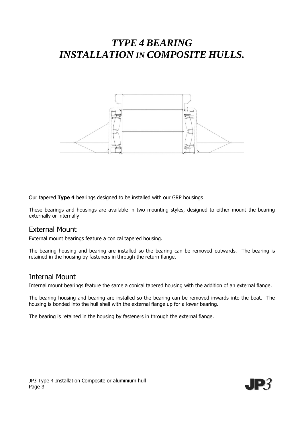# *TYPE 4 BEARING INSTALLATION IN COMPOSITE HULLS.*



Our tapered **Type 4** bearings designed to be installed with our GRP housings

These bearings and housings are available in two mounting styles, designed to either mount the bearing externally or internally

# External Mount

External mount bearings feature a conical tapered housing.

The bearing housing and bearing are installed so the bearing can be removed outwards. The bearing is retained in the housing by fasteners in through the return flange.

### Internal Mount

Internal mount bearings feature the same a conical tapered housing with the addition of an external flange.

The bearing housing and bearing are installed so the bearing can be removed inwards into the boat. The housing is bonded into the hull shell with the external flange up for a lower bearing.

The bearing is retained in the housing by fasteners in through the external flange.

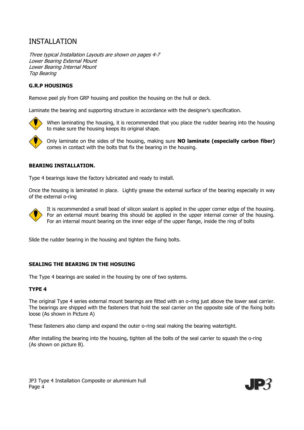# INSTALLATION

Three typical Installation Layouts are shown on pages 4-7 Lower Bearing External Mount Lower Bearing Internal Mount Top Bearing

#### **G.R.P HOUSINGS**

Remove peel ply from GRP housing and position the housing on the hull or deck.

Laminate the bearing and supporting structure in accordance with the designer's specification.



When laminating the housing, it is recommended that you place the rudder bearing into the housing to make sure the housing keeps its original shape.



Only laminate on the sides of the housing, making sure **NO laminate (especially carbon fiber)** comes in contact with the bolts that fix the bearing in the housing.

#### **BEARING INSTALLATION.**

Type 4 bearings leave the factory lubricated and ready to install.

Once the housing is laminated in place. Lightly grease the external surface of the bearing especially in way of the external o-ring



It is recommended a small bead of silicon sealant is applied in the upper corner edge of the housing. For an external mount bearing this should be applied in the upper internal corner of the housing. For an internal mount bearing on the inner edge of the upper flange, inside the ring of bolts

Slide the rudder bearing in the housing and tighten the fixing bolts.

#### **SEALING THE BEARING IN THE HOSUING**

The Type 4 bearings are sealed in the housing by one of two systems.

#### **TYPE 4**

The original Type 4 series external mount bearings are fitted with an o-ring just above the lower seal carrier. The bearings are shipped with the fasteners that hold the seal carrier on the opposite side of the fixing bolts loose (As shown in Picture A)

These fasteners also clamp and expand the outer o-ring seal making the bearing watertight.

After installing the bearing into the housing, tighten all the bolts of the seal carrier to squash the o-ring (As shown on picture B).

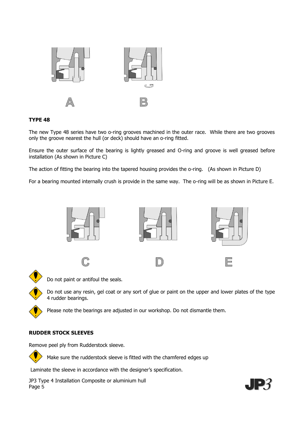

#### **TYPE 48**

The new Type 48 series have two o-ring grooves machined in the outer race. While there are two grooves only the groove nearest the hull (or deck) should have an o-ring fitted.

Ensure the outer surface of the bearing is lightly greased and O-ring and groove is well greased before installation (As shown in Picture C)

The action of fitting the bearing into the tapered housing provides the o-ring. (As shown in Picture D)

For a bearing mounted internally crush is provide in the same way. The o-ring will be as shown in Picture E.





Do not paint or antifoul the seals.

Do not use any resin, gel coat or any sort of glue or paint on the upper and lower plates of the type 4 rudder bearings.

Please note the bearings are adjusted in our workshop. Do not dismantle them.

#### **RUDDER STOCK SLEEVES**

Remove peel ply from Rudderstock sleeve.

Make sure the rudderstock sleeve is fitted with the chamfered edges up

Laminate the sleeve in accordance with the designer's specification.

JP3 Type 4 Installation Composite or aluminium hull Page 5



-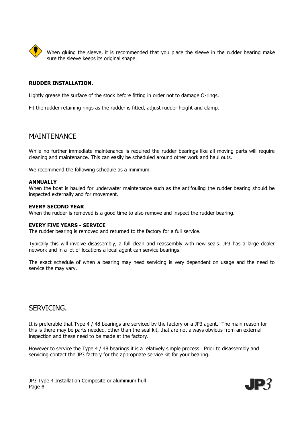

When gluing the sleeve, it is recommended that you place the sleeve in the rudder bearing make sure the sleeve keeps its original shape.

#### **RUDDER INSTALLATION.**

Lightly grease the surface of the stock before fitting in order not to damage O-rings.

Fit the rudder retaining rings as the rudder is fitted, adjust rudder height and clamp.

## **MAINTENANCE**

While no further immediate maintenance is required the rudder bearings like all moving parts will require cleaning and maintenance. This can easily be scheduled around other work and haul outs.

We recommend the following schedule as a minimum.

#### **ANNUALLY**

When the boat is hauled for underwater maintenance such as the antifouling the rudder bearing should be inspected externally and for movement.

#### **EVERY SECOND YEAR**

When the rudder is removed is a good time to also remove and inspect the rudder bearing.

#### **EVERY FIVE YEARS - SERVICE**

The rudder bearing is removed and returned to the factory for a full service.

Typically this will involve disassembly, a full clean and reassembly with new seals. JP3 has a large dealer network and in a lot of locations a local agent can service bearings.

The exact schedule of when a bearing may need servicing is very dependent on usage and the need to service the may vary.

# SERVICING.

It is preferable that Type 4 / 48 bearings are serviced by the factory or a JP3 agent. The main reason for this is there may be parts needed, other than the seal kit, that are not always obvious from an external inspection and these need to be made at the factory.

However to service the Type 4 / 48 bearings it is a relatively simple process. Prior to disassembly and servicing contact the JP3 factory for the appropriate service kit for your bearing.

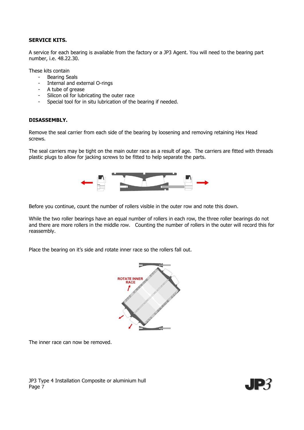#### **SERVICE KITS.**

A service for each bearing is available from the factory or a JP3 Agent. You will need to the bearing part number, i.e. 48.22.30.

These kits contain

- Bearing Seals
- Internal and external O-rings
- A tube of grease
- Silicon oil for lubricating the outer race
- Special tool for in situ lubrication of the bearing if needed.

#### **DISASSEMBLY.**

Remove the seal carrier from each side of the bearing by loosening and removing retaining Hex Head screws.

The seal carriers may be tight on the main outer race as a result of age. The carriers are fitted with threads plastic plugs to allow for jacking screws to be fitted to help separate the parts.



Before you continue, count the number of rollers visible in the outer row and note this down.

While the two roller bearings have an equal number of rollers in each row, the three roller bearings do not and there are more rollers in the middle row. Counting the number of rollers in the outer will record this for reassembly.

Place the bearing on it's side and rotate inner race so the rollers fall out.



The inner race can now be removed.



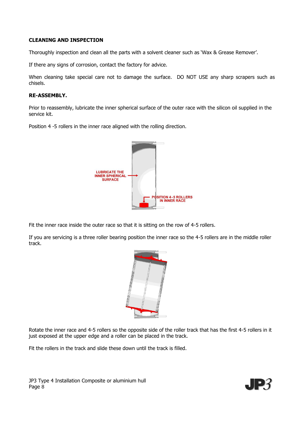#### **CLEANING AND INSPECTION**

Thoroughly inspection and clean all the parts with a solvent cleaner such as 'Wax & Grease Remover'.

If there any signs of corrosion, contact the factory for advice.

When cleaning take special care not to damage the surface. DO NOT USE any sharp scrapers such as chisels.

#### **RE-ASSEMBLY.**

Prior to reassembly, lubricate the inner spherical surface of the outer race with the silicon oil supplied in the service kit.

Position 4 -5 rollers in the inner race aligned with the rolling direction.



Fit the inner race inside the outer race so that it is sitting on the row of 4-5 rollers.

If you are servicing is a three roller bearing position the inner race so the 4-5 rollers are in the middle roller track.



Rotate the inner race and 4-5 rollers so the opposite side of the roller track that has the first 4-5 rollers in it just exposed at the upper edge and a roller can be placed in the track.

Fit the rollers in the track and slide these down until the track is filled.

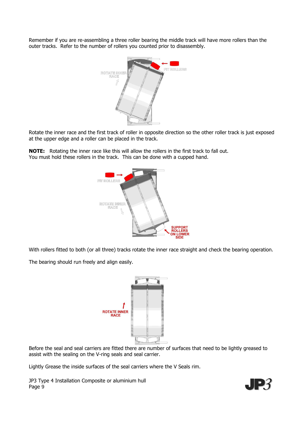Remember if you are re-assembling a three roller bearing the middle track will have more rollers than the outer tracks. Refer to the number of rollers you counted prior to disassembly.



Rotate the inner race and the first track of roller in opposite direction so the other roller track is just exposed at the upper edge and a roller can be placed in the track.

**NOTE:** Rotating the inner race like this will allow the rollers in the first track to fall out. You must hold these rollers in the track. This can be done with a cupped hand.



With rollers fitted to both (or all three) tracks rotate the inner race straight and check the bearing operation.

The bearing should run freely and align easily.



Before the seal and seal carriers are fitted there are number of surfaces that need to be lightly greased to assist with the sealing on the V-ring seals and seal carrier.

Lightly Grease the inside surfaces of the seal carriers where the V Seals rim.

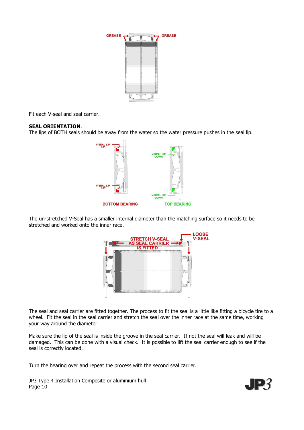

Fit each V-seal and seal carrier.

#### **SEAL ORIENTATION**.

The lips of BOTH seals should be away from the water so the water pressure pushes in the seal lip.



The un-stretched V-Seal has a smaller internal diameter than the matching surface so it needs to be stretched and worked onto the inner race.



The seal and seal carrier are fitted together. The process to fit the seal is a little like fitting a bicycle tire to a wheel. Fit the seal in the seal carrier and stretch the seal over the inner race at the same time, working your way around the diameter.

Make sure the lip of the seal is inside the groove in the seal carrier. If not the seal will leak and will be damaged. This can be done with a visual check. It is possible to lift the seal carrier enough to see if the seal is correctly located.

Turn the bearing over and repeat the process with the second seal carrier.

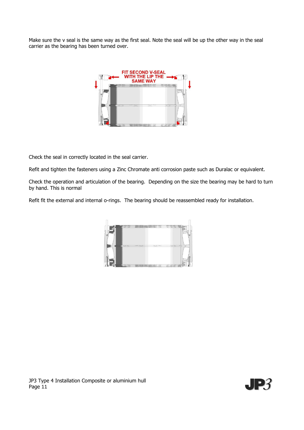Make sure the v seal is the same way as the first seal. Note the seal will be up the other way in the seal carrier as the bearing has been turned over.



Check the seal in correctly located in the seal carrier.

Refit and tighten the fasteners using a Zinc Chromate anti corrosion paste such as Duralac or equivalent.

Check the operation and articulation of the bearing. Depending on the size the bearing may be hard to turn by hand. This is normal

Refit fit the external and internal o-rings. The bearing should be reassembled ready for installation.



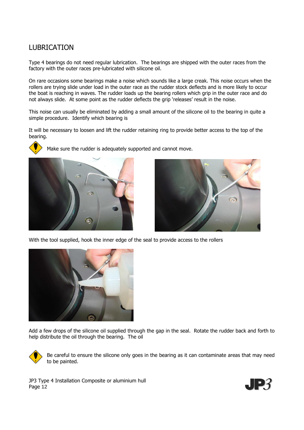# LUBRICATION

Type 4 bearings do not need regular lubrication. The bearings are shipped with the outer races from the factory with the outer races pre-lubricated with silicone oil.

On rare occasions some bearings make a noise which sounds like a large creak. This noise occurs when the rollers are trying slide under load in the outer race as the rudder stock deflects and is more likely to occur the boat is reaching in waves. The rudder loads up the bearing rollers which grip in the outer race and do not always slide. At some point as the rudder deflects the grip 'releases' result in the noise.

This noise can usually be eliminated by adding a small amount of the silicone oil to the bearing in quite a simple procedure. Identify which bearing is

It will be necessary to loosen and lift the rudder retaining ring to provide better access to the top of the bearing.



Make sure the rudder is adequately supported and cannot move.





With the tool supplied, hook the inner edge of the seal to provide access to the rollers



Add a few drops of the silicone oil supplied through the gap in the seal. Rotate the rudder back and forth to help distribute the oil through the bearing. The oil



Be careful to ensure the silicone only goes in the bearing as it can contaminate areas that may need to be painted.